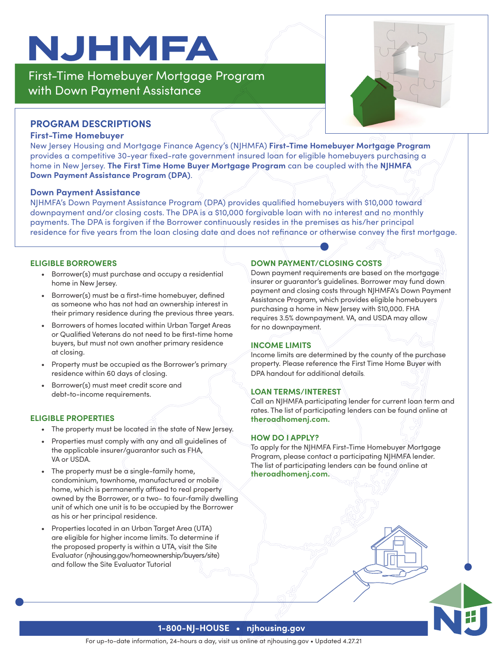# **NJHMFA**

First-Time Homebuyer Mortgage Program with Down Payment Assistance



# **PROGRAM DESCRIPTIONS**

### **First-Time Homebuyer**

New Jersey Housing and Mortgage Finance Agency's (NJHMFA) **First-Time Homebuyer Mortgage Program** provides a competitive 30-year fixed-rate government insured loan for eligible homebuyers purchasing a home in New Jersey. **The First Time Home Buyer Mortgage Program** can be coupled with the **NJHMFA Down Payment Assistance Program (DPA)**.

#### **Down Payment Assistance**

NJHMFA's Down Payment Assistance Program (DPA) provides qualified homebuyers with \$10,000 toward downpayment and/or closing costs. The DPA is a \$10,000 forgivable loan with no interest and no monthly payments. The DPA is forgiven if the Borrower continuously resides in the premises as his/her principal residence for five years from the loan closing date and does not refinance or otherwise convey the first mortgage.

#### **ELIGIBLE BORROWERS**

- Borrower(s) must purchase and occupy a residential home in New Jersey.
- Borrower(s) must be a first-time homebuyer, defined as someone who has not had an ownership interest in their primary residence during the previous three years.
- Borrowers of homes located within Urban Target Areas or Qualified Veterans do not need to be first-time home buyers, but must not own another primary residence at closing.
- Property must be occupied as the Borrower's primary residence within 60 days of closing.
- Borrower(s) must meet credit score and debt-to-income requirements.

#### **ELIGIBLE PROPERTIES**

- The property must be located in the state of New Jersey.
- Properties must comply with any and all guidelines of the applicable insurer/guarantor such as FHA, VA or USDA.
- The property must be a single-family home, condominium, townhome, manufactured or mobile home, which is permanently affixed to real property owned by the Borrower, or a two- to four-family dwelling unit of which one unit is to be occupied by the Borrower as his or her principal residence.
- Properties located in an Urban Target Area (UTA) are eligible for higher income limits. To determine if the proposed property is within a UTA, visit the Site Evaluator (njhousing.gov/homeownership/buyers/site) and follow the Site Evaluator Tutorial

# **DOWN PAYMENT/CLOSING COSTS**

Down payment requirements are based on the mortgage insurer or guarantor's guidelines. Borrower may fund down payment and closing costs through NJHMFA's Down Payment Assistance Program, which provides eligible homebuyers purchasing a home in New Jersey with \$10,000. FHA requires 3.5% downpayment. VA, and USDA may allow for no downpayment.

# **INCOME LIMITS**

Income limits are determined by the county of the purchase property. Please reference the First Time Home Buyer with DPA handout for additional details.

# **LOAN TERMS/INTEREST**

Call an NJHMFA participating lender for current loan term and rates. The list of participating lenders can be found online at **theroadhomenj.com.** 

## **HOW DO I APPLY?**

To apply for the NJHMFA First-Time Homebuyer Mortgage Program, please contact a participating NJHMFA lender. The list of participating lenders can be found online at **theroadhomenj.com.** 

## **1-800-NJ-HOUSE • njhousing.gov**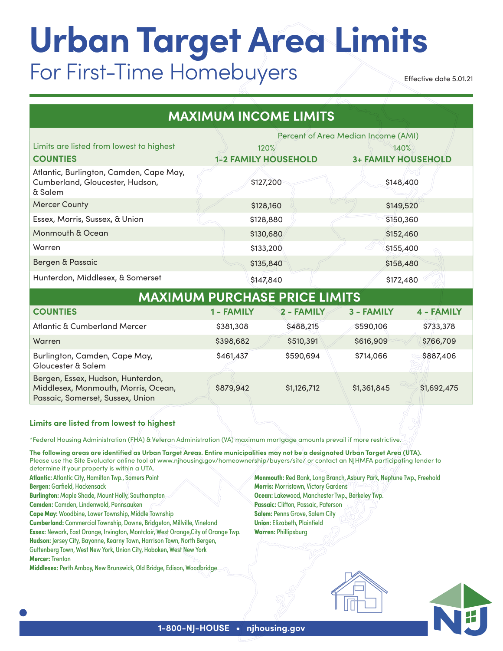# **Urban Target Area Limits** For First-Time Homebuyers

Effective date 5.01.21

| <b>MAXIMUM INCOME LIMITS</b>                                                                                 |                                     |             |                            |             |  |  |  |  |
|--------------------------------------------------------------------------------------------------------------|-------------------------------------|-------------|----------------------------|-------------|--|--|--|--|
|                                                                                                              | Percent of Area Median Income (AMI) |             |                            |             |  |  |  |  |
| Limits are listed from lowest to highest                                                                     | 120%                                |             | 140%                       |             |  |  |  |  |
| <b>COUNTIES</b>                                                                                              | <b>1-2 FAMILY HOUSEHOLD</b>         |             | <b>3+ FAMILY HOUSEHOLD</b> |             |  |  |  |  |
| Atlantic, Burlington, Camden, Cape May,<br>Cumberland, Gloucester, Hudson,<br>& Salem                        | \$127,200                           |             | \$148,400                  |             |  |  |  |  |
| <b>Mercer County</b>                                                                                         | \$128,160                           |             | \$149,520                  |             |  |  |  |  |
| Essex, Morris, Sussex, & Union                                                                               | \$128,880                           |             | \$150,360                  |             |  |  |  |  |
| Monmouth & Ocean                                                                                             | \$130,680                           |             | \$152,460                  |             |  |  |  |  |
| Warren                                                                                                       | \$133,200                           |             | \$155,400                  |             |  |  |  |  |
| Bergen & Passaic                                                                                             | \$135,840                           |             | \$158,480                  |             |  |  |  |  |
| Hunterdon, Middlesex, & Somerset                                                                             | \$147,840                           |             | \$172,480                  |             |  |  |  |  |
| <b>MAXIMUM PURCHASE PRICE LIMITS</b>                                                                         |                                     |             |                            |             |  |  |  |  |
| <b>COUNTIES</b>                                                                                              | 1 - FAMILY                          | 2 - FAMILY  | 3 - FAMILY                 | 4 - FAMILY  |  |  |  |  |
| Atlantic & Cumberland Mercer                                                                                 | \$381,308                           | \$488,215   | \$590,106                  | \$733,378   |  |  |  |  |
| Warren                                                                                                       | \$398,682                           | \$510,391   | \$616,909                  | \$766,709   |  |  |  |  |
| Burlington, Camden, Cape May,<br>Gloucester & Salem                                                          | \$461,437                           | \$590,694   | \$714,066                  | \$887,406   |  |  |  |  |
| Bergen, Essex, Hudson, Hunterdon,<br>Middlesex, Monmouth, Morris, Ocean,<br>Passaic, Somerset, Sussex, Union | \$879,942                           | \$1,126,712 | \$1,361,845                | \$1,692,475 |  |  |  |  |
| Limits are listed from lowest to highest                                                                     |                                     |             |                            |             |  |  |  |  |

\*Federal Housing Administration (FHA) & Veteran Administration (VA) maximum mortgage amounts prevail if more restrictive.

The following areas are identified as Urban Target Areas. Entire municipalities may not be a designated Urban Target Area (UTA). Please use the Site Evaluator online tool at www.njhousing.gov/homeownership/buyers/site/ or contact an NJHMFA participating lender to determine if your property is within a UTA.

**Atlantic:** Atlantic City, Hamilton Twp., Somers Point

**Bergen:** Garfield, Hackensack

**Burlington:** Maple Shade, Mount Holly, Southampton

**Camden:** Camden, Lindenwold, Pennsauken

**Cape May:** Woodbine, Lower Township, Middle Township

**Cumberland:** Commercial Township, Downe, Bridgeton, Millville, Vineland **Essex:** Newark, East Orange, Irvington, Montclair, West Orange,City of Orange Twp. **Hudson:** Jersey City, Bayonne, Kearny Town, Harrison Town, North Bergen, Guttenberg Town, West New York, Union City, Hoboken, West New York **Mercer:** Trenton

**Middlesex:** Perth Amboy, New Brunswick, Old Bridge, Edison, Woodbridge

**Monmouth:** Red Bank, Long Branch, Asbury Park, Neptune Twp., Freehold **Morris:** Morristown, Victory Gardens **Ocean:** Lakewood, Manchester Twp., Berkeley Twp. **Passaic:** Clifton, Passaic, Paterson **Salem:** Penns Grove, Salem City **Union:** Elizabeth, Plainfield **Warren:** Phillipsburg